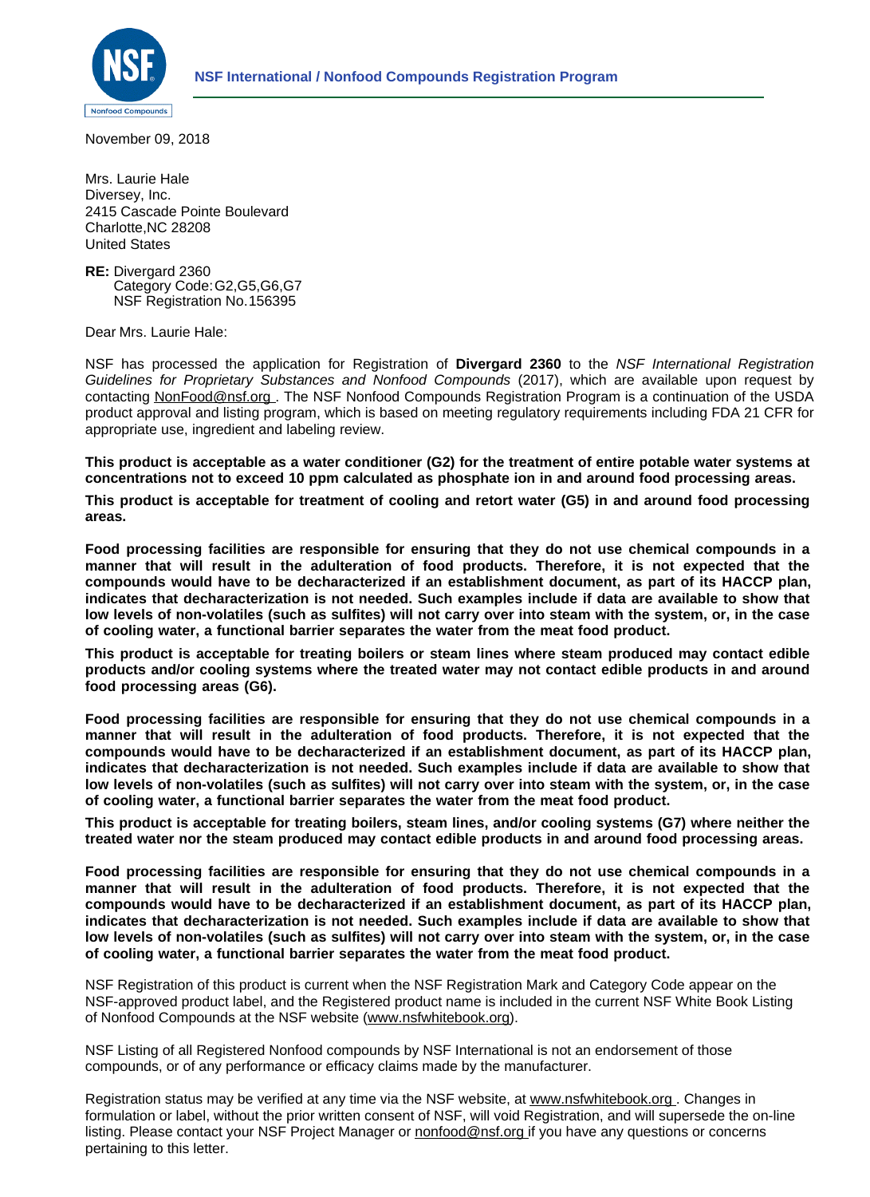

November 09, 2018

Mrs. Laurie Hale Diversey, Inc. 2415 Cascade Pointe Boulevard Charlotte,NC 28208 United States

**RE:** Divergard 2360 Category Code:G2,G5,G6,G7 NSF Registration No.156395

Dear Mrs. Laurie Hale:

NSF has processed the application for Registration of **Divergard 2360** to the *NSF International Registration Guidelines for Proprietary Substances and Nonfood Compounds* (2017), which are available upon request by contacting [NonFood@nsf.org](http://nonfood@nsf.org) . The NSF Nonfood Compounds Registration Program is a continuation of the USDA product approval and listing program, which is based on meeting regulatory requirements including FDA 21 CFR for appropriate use, ingredient and labeling review.

**This product is acceptable as a water conditioner (G2) for the treatment of entire potable water systems at concentrations not to exceed 10 ppm calculated as phosphate ion in and around food processing areas.**

**This product is acceptable for treatment of cooling and retort water (G5) in and around food processing areas.**

**Food processing facilities are responsible for ensuring that they do not use chemical compounds in a manner that will result in the adulteration of food products. Therefore, it is not expected that the compounds would have to be decharacterized if an establishment document, as part of its HACCP plan, indicates that decharacterization is not needed. Such examples include if data are available to show that low levels of non-volatiles (such as sulfites) will not carry over into steam with the system, or, in the case of cooling water, a functional barrier separates the water from the meat food product.**

**This product is acceptable for treating boilers or steam lines where steam produced may contact edible products and/or cooling systems where the treated water may not contact edible products in and around food processing areas (G6).**

**Food processing facilities are responsible for ensuring that they do not use chemical compounds in a manner that will result in the adulteration of food products. Therefore, it is not expected that the compounds would have to be decharacterized if an establishment document, as part of its HACCP plan, indicates that decharacterization is not needed. Such examples include if data are available to show that low levels of non-volatiles (such as sulfites) will not carry over into steam with the system, or, in the case of cooling water, a functional barrier separates the water from the meat food product.**

**This product is acceptable for treating boilers, steam lines, and/or cooling systems (G7) where neither the treated water nor the steam produced may contact edible products in and around food processing areas.**

**Food processing facilities are responsible for ensuring that they do not use chemical compounds in a manner that will result in the adulteration of food products. Therefore, it is not expected that the compounds would have to be decharacterized if an establishment document, as part of its HACCP plan, indicates that decharacterization is not needed. Such examples include if data are available to show that low levels of non-volatiles (such as sulfites) will not carry over into steam with the system, or, in the case of cooling water, a functional barrier separates the water from the meat food product.**

NSF Registration of this product is current when the NSF Registration Mark and Category Code appear on the NSF-approved product label, and the Registered product name is included in the current NSF White Book Listing of Nonfood Compounds at the NSF website ([www.nsfwhitebook.org\)](http://www.nsfwhitebook.org).

NSF Listing of all Registered Nonfood compounds by NSF International is not an endorsement of those compounds, or of any performance or efficacy claims made by the manufacturer.

Registration status may be verified at any time via the NSF website, at [www.nsfwhitebook.org](http://www.nsfwhitebook.org). Changes in formulation or label, without the prior written consent of NSF, will void Registration, and will supersede the on-line listing. Please contact your NSF Project Manager or [nonfood@nsf.org](http://www.nonfood@nsf.org) if you have any questions or concerns pertaining to this letter.